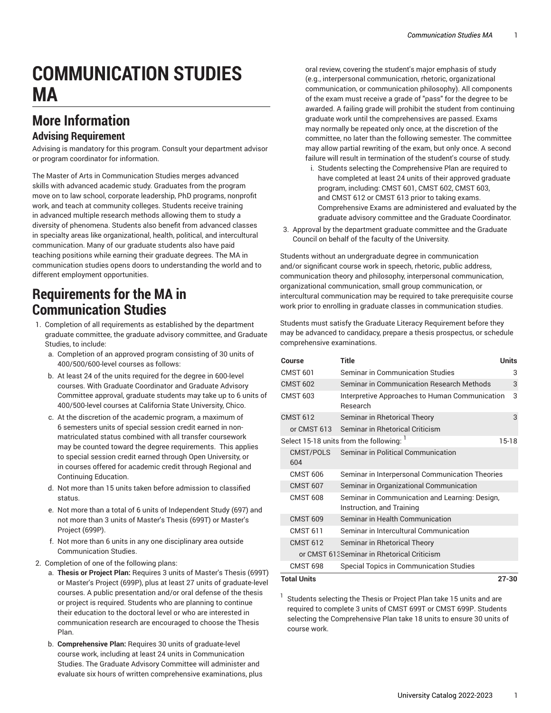# **COMMUNICATION STUDIES MA**

## **More Information**

#### **Advising Requirement**

Advising is mandatory for this program. Consult your department advisor or program coordinator for information.

The Master of Arts in Communication Studies merges advanced skills with advanced academic study. Graduates from the program move on to law school, corporate leadership, PhD programs, nonprofit work, and teach at community colleges. Students receive training in advanced multiple research methods allowing them to study a diversity of phenomena. Students also benefit from advanced classes in specialty areas like organizational, health, political, and intercultural communication. Many of our graduate students also have paid teaching positions while earning their graduate degrees. The MA in communication studies opens doors to understanding the world and to different employment opportunities.

#### **Requirements for the MA in Communication Studies**

- 1. Completion of all requirements as established by the department graduate committee, the graduate advisory committee, and Graduate Studies, to include:
	- a. Completion of an approved program consisting of 30 units of 400/500/600-level courses as follows:
	- b. At least 24 of the units required for the degree in 600-level courses. With Graduate Coordinator and Graduate Advisory Committee approval, graduate students may take up to 6 units of 400/500-level courses at California State University, Chico.
	- c. At the discretion of the academic program, a maximum of 6 semesters units of special session credit earned in nonmatriculated status combined with all transfer coursework may be counted toward the degree requirements. This applies to special session credit earned through Open University, or in courses offered for academic credit through Regional and Continuing Education.
	- d. Not more than 15 units taken before admission to classified status.
	- e. Not more than a total of 6 units of Independent Study (697) and not more than 3 units of Master's Thesis (699T) or Master's Project (699P).
	- f. Not more than 6 units in any one disciplinary area outside Communication Studies.
- 2. Completion of one of the following plans:
	- a. **Thesis or Project Plan:** Requires 3 units of Master's Thesis (699T) or Master's Project (699P), plus at least 27 units of graduate-level courses. A public presentation and/or oral defense of the thesis or project is required. Students who are planning to continue their education to the doctoral level or who are interested in communication research are encouraged to choose the Thesis Plan.
	- b. **Comprehensive Plan:** Requires 30 units of graduate-level course work, including at least 24 units in Communication Studies. The Graduate Advisory Committee will administer and evaluate six hours of written comprehensive examinations, plus

oral review, covering the student's major emphasis of study (e.g., interpersonal communication, rhetoric, organizational communication, or communication philosophy). All components of the exam must receive a grade of "pass" for the degree to be awarded. A failing grade will prohibit the student from continuing graduate work until the comprehensives are passed. Exams may normally be repeated only once, at the discretion of the committee, no later than the following semester. The committee may allow partial rewriting of the exam, but only once. A second failure will result in termination of the student's course of study.

- i. Students selecting the Comprehensive Plan are required to have completed at least 24 units of their approved graduate program, including: CMST 601, CMST 602, CMST 603, and CMST 612 or CMST 613 prior to taking exams. Comprehensive Exams are administered and evaluated by the graduate advisory committee and the Graduate Coordinator.
- 3. Approval by the department graduate committee and the Graduate Council on behalf of the faculty of the University.

Students without an undergraduate degree in communication and/or significant course work in speech, rhetoric, public address, communication theory and philosophy, interpersonal communication, organizational communication, small group communication, or intercultural communication may be required to take prerequisite course work prior to enrolling in graduate classes in communication studies.

Students must satisfy the Graduate Literacy Requirement before they may be advanced to candidacy, prepare a thesis prospectus, or schedule comprehensive examinations.

| Course                                      | Title                                                                       | <b>Units</b> |
|---------------------------------------------|-----------------------------------------------------------------------------|--------------|
| <b>CMST 601</b>                             | Seminar in Communication Studies                                            | 3            |
| <b>CMST 602</b>                             | Seminar in Communication Research Methods                                   | 3            |
| <b>CMST 603</b>                             | Interpretive Approaches to Human Communication<br><b>Research</b>           | 3            |
| <b>CMST 612</b>                             | Seminar in Rhetorical Theory                                                | 3            |
| or CMST 613                                 | Seminar in Rhetorical Criticism                                             |              |
|                                             | Select 15-18 units from the following: 1                                    | $15-18$      |
| <b>CMST/POLS</b><br>604                     | Seminar in Political Communication                                          |              |
| <b>CMST 606</b>                             | Seminar in Interpersonal Communication Theories                             |              |
| <b>CMST 607</b>                             | Seminar in Organizational Communication                                     |              |
| <b>CMST 608</b>                             | Seminar in Communication and Learning: Design,<br>Instruction, and Training |              |
| <b>CMST 609</b>                             | Seminar in Health Communication                                             |              |
| <b>CMST 611</b>                             | Seminar in Intercultural Communication                                      |              |
| <b>CMST 612</b>                             | Seminar in Rhetorical Theory                                                |              |
| or CMST 613 Seminar in Rhetorical Criticism |                                                                             |              |
| <b>CMST 698</b>                             | Special Topics in Communication Studies                                     |              |
| <b>Total Units</b><br>$27 - 30$             |                                                                             |              |

Students selecting the Thesis or Project Plan take 15 units and are required to complete 3 units of CMST 699T or CMST 699P. Students selecting the Comprehensive Plan take 18 units to ensure 30 units of course work.

1